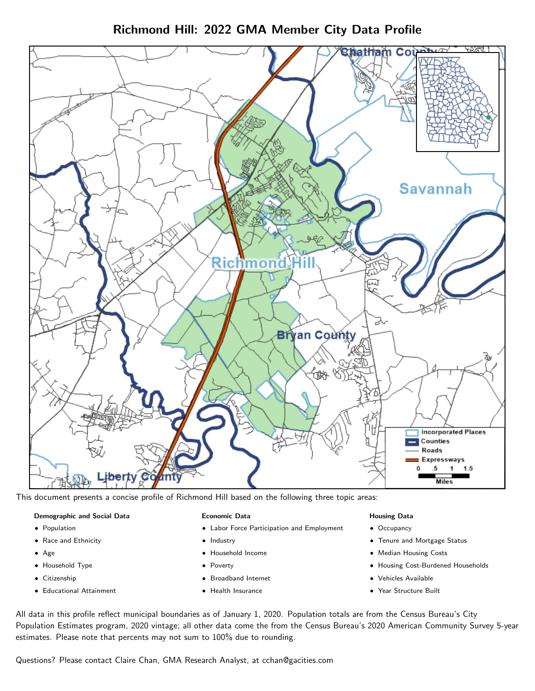# Richmond Hill: 2022 GMA Member City Data Profile



This document presents a concise profile of Richmond Hill based on the following three topic areas:

## Demographic and Social Data

- **•** Population
- Race and Ethnicity
- Age
- Household Type
- **Citizenship**
- Educational Attainment

## Economic Data

- Labor Force Participation and Employment
- Industry
- Household Income
- Poverty
- Broadband Internet
- Health Insurance

## Housing Data

- Occupancy
- Tenure and Mortgage Status
- Median Housing Costs
- Housing Cost-Burdened Households
- Vehicles Available
- Year Structure Built

All data in this profile reflect municipal boundaries as of January 1, 2020. Population totals are from the Census Bureau's City Population Estimates program, 2020 vintage; all other data come the from the Census Bureau's 2020 American Community Survey 5-year estimates. Please note that percents may not sum to 100% due to rounding.

Questions? Please contact Claire Chan, GMA Research Analyst, at [cchan@gacities.com.](mailto:cchan@gacities.com)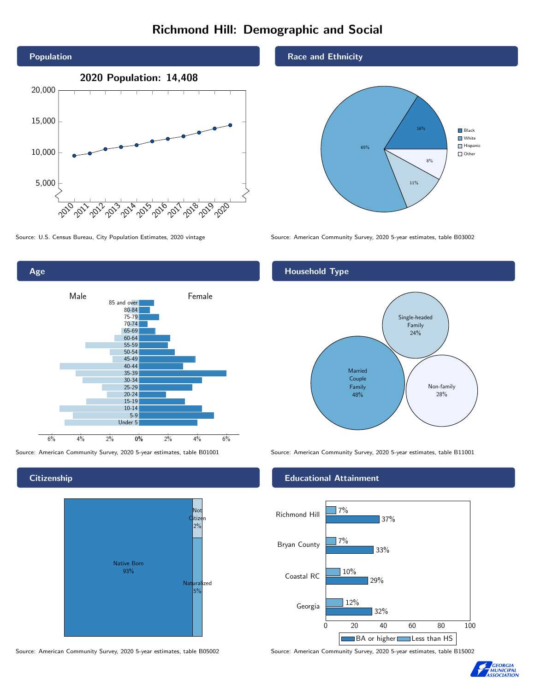# Richmond Hill: Demographic and Social



Age 0% 2% 4% 6% Male **Female** 6% 4% 2% 85 and over 80-84 75-79 70-74 65-69 60-64 55-59 50-54 45-49 40-44 35-39 30-34 25-29 20-24 15-19 10-14 5-9 Under 5

**Citizenship** 



Source: American Community Survey, 2020 5-year estimates, table B05002 Source: American Community Survey, 2020 5-year estimates, table B15002

## Race and Ethnicity



Source: U.S. Census Bureau, City Population Estimates, 2020 vintage Source: American Community Survey, 2020 5-year estimates, table B03002

# Household Type

![](_page_1_Figure_12.jpeg)

Source: American Community Survey, 2020 5-year estimates, table B01001 Source: American Community Survey, 2020 5-year estimates, table B11001

## Educational Attainment

![](_page_1_Figure_15.jpeg)

![](_page_1_Picture_17.jpeg)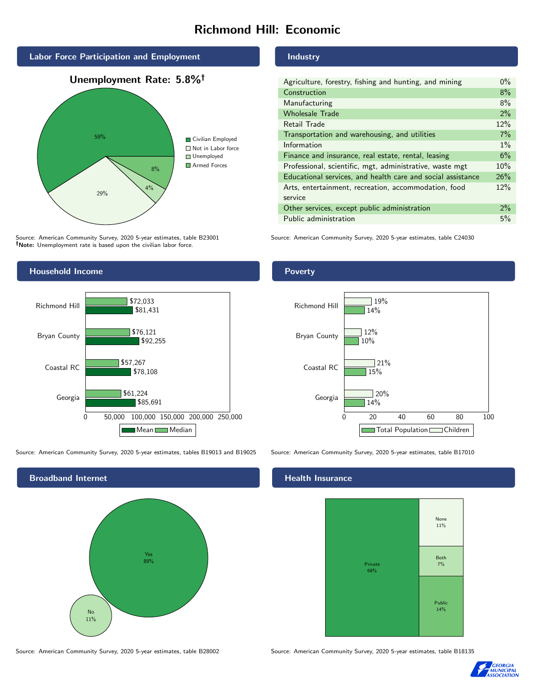# Richmond Hill: Economic

![](_page_2_Figure_1.jpeg)

Source: American Community Survey, 2020 5-year estimates, table B23001 Note: Unemployment rate is based upon the civilian labor force.

#### Industry

| Agriculture, forestry, fishing and hunting, and mining      | $0\%$ |
|-------------------------------------------------------------|-------|
| Construction                                                | 8%    |
| Manufacturing                                               | 8%    |
| <b>Wholesale Trade</b>                                      | 2%    |
| Retail Trade                                                | 12%   |
| Transportation and warehousing, and utilities               | 7%    |
| Information                                                 | $1\%$ |
| Finance and insurance, real estate, rental, leasing         | 6%    |
| Professional, scientific, mgt, administrative, waste mgt    | 10%   |
| Educational services, and health care and social assistance | 26%   |
| Arts, entertainment, recreation, accommodation, food        | 12%   |
| service                                                     |       |
| Other services, except public administration                | $2\%$ |
| Public administration                                       | 5%    |

Source: American Community Survey, 2020 5-year estimates, table C24030

![](_page_2_Figure_6.jpeg)

Source: American Community Survey, 2020 5-year estimates, tables B19013 and B19025 Source: American Community Survey, 2020 5-year estimates, table B17010

![](_page_2_Figure_8.jpeg)

## Poverty

![](_page_2_Figure_11.jpeg)

# **Health Insurance**

![](_page_2_Figure_14.jpeg)

Source: American Community Survey, 2020 5-year estimates, table B28002 Source: American Community Survey, 2020 5-year estimates, table B18135

![](_page_2_Picture_16.jpeg)